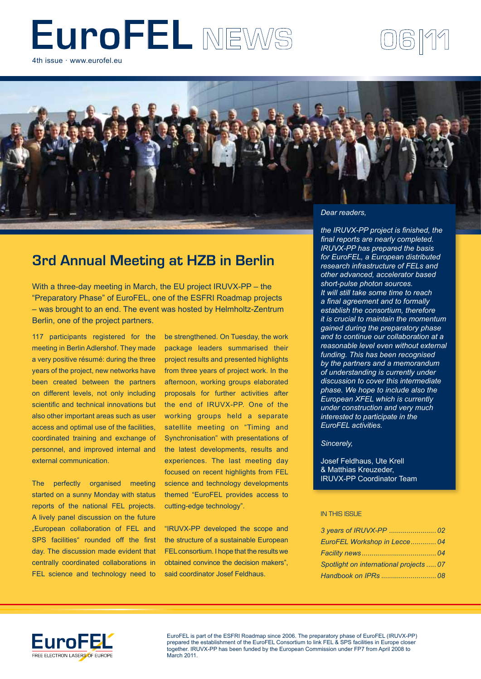# EuroFEL NEWS

4th issue · www.eurofel.eu



# **3rd Annual Meeting at HZB in Berlin**

With a three-day meeting in March, the EU project IRUVX-PP – the "Preparatory Phase" of EuroFEL, one of the ESFRI Roadmap projects – was brought to an end. The event was hosted by Helmholtz-Zentrum Berlin, one of the project partners.

117 participants registered for the meeting in Berlin Adlershof. They made a very positive résumé: during the three years of the project, new networks have been created between the partners on different levels, not only including scientific and technical innovations but also other important areas such as user access and optimal use of the facilities, coordinated training and exchange of personnel, and improved internal and external communication.

The perfectly organised meeting started on a sunny Monday with status reports of the national FEL projects. A lively panel discussion on the future "European collaboration of FEL and SPS facilities" rounded off the first day. The discussion made evident that centrally coordinated collaborations in FEL science and technology need to

be strengthened. On Tuesday, the work package leaders summarised their project results and presented highlights from three years of project work. In the afternoon, working groups elaborated proposals for further activities after the end of IRUVX-PP. One of the working groups held a separate satellite meeting on "Timing and Synchronisation" with presentations of the latest developments, results and experiences. The last meeting day focused on recent highlights from FEL science and technology developments themed "EuroFEL provides access to cutting-edge technology".

"IRUVX-PP developed the scope and the structure of a sustainable European FEL consortium. I hope that the results we obtained convince the decision makers", said coordinator Josef Feldhaus.

*the IRUVX-PP project is finished, the final reports are nearly completed. IRUVX-PP has prepared the basis for EuroFEL, a European distributed research infrastructure of FELs and other advanced, accelerator based short-pulse photon sources. It will still take some time to reach a final agreement and to formally establish the consortium, therefore it is crucial to maintain the momentum gained during the preparatory phase and to continue our collaboration at a reasonable level even without external funding. This has been recognised by the partners and a memorandum of understanding is currently under discussion to cover this intermediate phase. We hope to include also the European XFEL which is currently under construction and very much interested to participate in the EuroFEL activities.*

0611

#### *Sincerely,*

Josef Feldhaus, Ute Krell & Matthias Kreuzeder, IRUVX-PP Coordinator Team

#### IN THIS ISSUE

| EuroFEL Workshop in Lecce 04            |  |
|-----------------------------------------|--|
|                                         |  |
| Spotlight on international projects  07 |  |
|                                         |  |



EuroFEL is part of the ESFRI Roadmap since 2006. The preparatory phase of EuroFEL (IRUVX-PP) prepared the establishment of the EuroFEL Consortium to link FEL & SPS facilities in Europe closer together. IRUVX-PP has been funded by the European Commission under FP7 from April 2008 to March 2011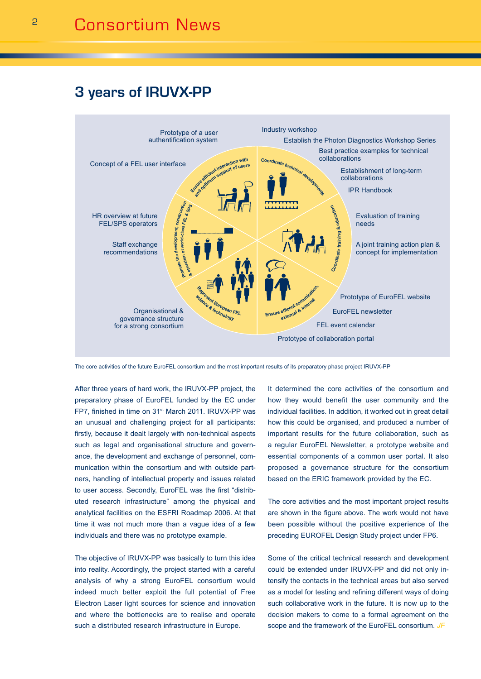# **3 years of IRUVX-PP**



The core activities of the future EuroFEL consortium and the most important results of its preparatory phase project IRUVX-PP

After three years of hard work, the IRUVX-PP project, the preparatory phase of EuroFEL funded by the EC under FP7, finished in time on 31st March 2011. IRUVX-PP was an unusual and challenging project for all participants: firstly, because it dealt largely with non-technical aspects such as legal and organisational structure and governance, the development and exchange of personnel, communication within the consortium and with outside partners, handling of intellectual property and issues related to user access. Secondly, EuroFEL was the first "distributed research infrastructure" among the physical and analytical facilities on the ESFRI Roadmap 2006. At that time it was not much more than a vague idea of a few individuals and there was no prototype example.

The objective of IRUVX-PP was basically to turn this idea into reality. Accordingly, the project started with a careful analysis of why a strong EuroFEL consortium would indeed much better exploit the full potential of Free Electron Laser light sources for science and innovation and where the bottlenecks are to realise and operate such a distributed research infrastructure in Europe.

It determined the core activities of the consortium and how they would benefit the user community and the individual facilities. In addition, it worked out in great detail how this could be organised, and produced a number of important results for the future collaboration, such as a regular EuroFEL Newsletter, a prototype website and essential components of a common user portal. It also proposed a governance structure for the consortium based on the ERIC framework provided by the EC.

The core activities and the most important project results are shown in the figure above. The work would not have been possible without the positive experience of the preceding EUROFEL Design Study project under FP6.

Some of the critical technical research and development could be extended under IRUVX-PP and did not only intensify the contacts in the technical areas but also served as a model for testing and refining different ways of doing such collaborative work in the future. It is now up to the decision makers to come to a formal agreement on the scope and the framework of the EuroFEL consortium. *JF*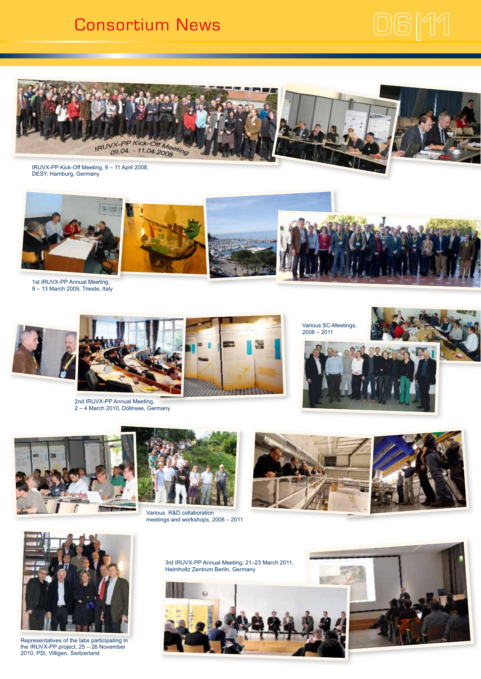# Consortium News





IRUVX-PP Kick-Off Meeting, 9 – 11 April 2008, DESY, Hamburg, Germany



1st IRUVX-PP Annual Meeting, 9 – 13 March 2009, Trieste, Italy



2nd IRUVX-PP Annual Meeting, 2 – 4 March 2010, Döllnsee, Germany











Various R&D collaboration meetings and workshops, 2008 – 2011





Representatives of the labs participating in the IRUVX-PP project, 25 – 26 November 2010, PSI, Villigen, Switzerland

3rd IRUVX-PP Annual Meeting, 21–23 March 2011, Helmholtz Zentrum Berlin, Germany



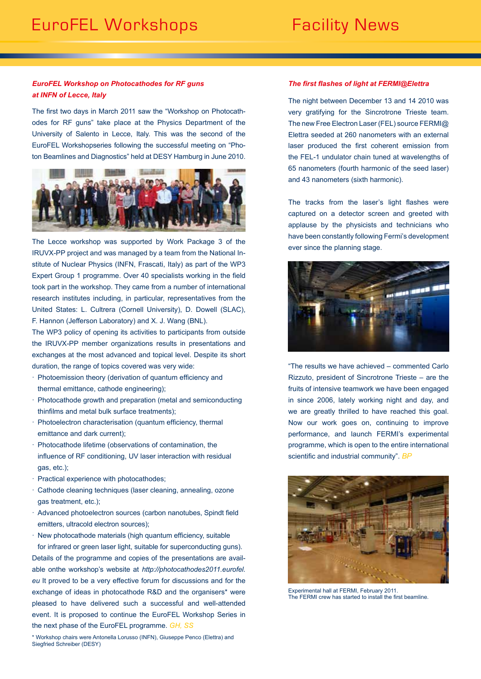## *EuroFEL Workshop on Photocathodes for RF guns at INFN of Lecce, Italy*

The first two days in March 2011 saw the "Workshop on Photocathodes for RF guns" take place at the Physics Department of the University of Salento in Lecce, Italy. This was the second of the EuroFEL Workshopseries following the successful meeting on "Photon Beamlines and Diagnostics" held at DESY Hamburg in June 2010.



The Lecce workshop was supported by Work Package 3 of the IRUVX-PP project and was managed by a team from the National Institute of Nuclear Physics (INFN, Frascati, Italy) as part of the WP3 Expert Group 1 programme. Over 40 specialists working in the field took part in the workshop. They came from a number of international research institutes including, in particular, representatives from the United States: L. Cultrera (Cornell University), D. Dowell (SLAC), F. Hannon (Jefferson Laboratory) and X. J. Wang (BNL).

The WP3 policy of opening its activities to participants from outside the IRUVX-PP member organizations results in presentations and exchanges at the most advanced and topical level. Despite its short duration, the range of topics covered was very wide:

- · Photoemission theory (derivation of quantum efficiency and thermal emittance, cathode engineering);
- · Photocathode growth and preparation (metal and semiconducting thinfilms and metal bulk surface treatments);
- · Photoelectron characterisation (quantum efficiency, thermal emittance and dark current);
- · Photocathode lifetime (observations of contamination, the influence of RF conditioning, UV laser interaction with residual gas, etc.);
- · Practical experience with photocathodes;
- · Cathode cleaning techniques (laser cleaning, annealing, ozone gas treatment, etc.);
- · Advanced photoelectron sources (carbon nanotubes, Spindt field emitters, ultracold electron sources);
- · New photocathode materials (high quantum efficiency, suitable for infrared or green laser light, suitable for superconducting guns).

Details of the programme and copies of the presentations are available onthe workshop's website at *http://photocathodes2011.eurofel. eu* It proved to be a very effective forum for discussions and for the exchange of ideas in photocathode R&D and the organisers\* were pleased to have delivered such a successful and well-attended event. It is proposed to continue the EuroFEL Workshop Series in the next phase of the EuroFEL programme. *GH, SS*

\* Workshop chairs were Antonella Lorusso (INFN), Giuseppe Penco (Elettra) and Siegfried Schreiber (DESY)

#### *The first flashes of light at FERMI@Elettra*

The night between December 13 and 14 2010 was very gratifying for the Sincrotrone Trieste team. The new Free Electron Laser (FEL) source FERMI@ Elettra seeded at 260 nanometers with an external laser produced the first coherent emission from the FEL-1 undulator chain tuned at wavelengths of 65 nanometers (fourth harmonic of the seed laser) and 43 nanometers (sixth harmonic).

The tracks from the laser's light flashes were captured on a detector screen and greeted with applause by the physicists and technicians who have been constantly following Fermi's development ever since the planning stage.



"The results we have achieved – commented Carlo Rizzuto, president of Sincrotrone Trieste – are the fruits of intensive teamwork we have been engaged in since 2006, lately working night and day, and we are greatly thrilled to have reached this goal. Now our work goes on, continuing to improve performance, and launch FERMI's experimental programme, which is open to the entire international scientific and industrial community". *BP*



Experimental hall at FERMI, February 2011. The FERMI crew has started to install the first beamline.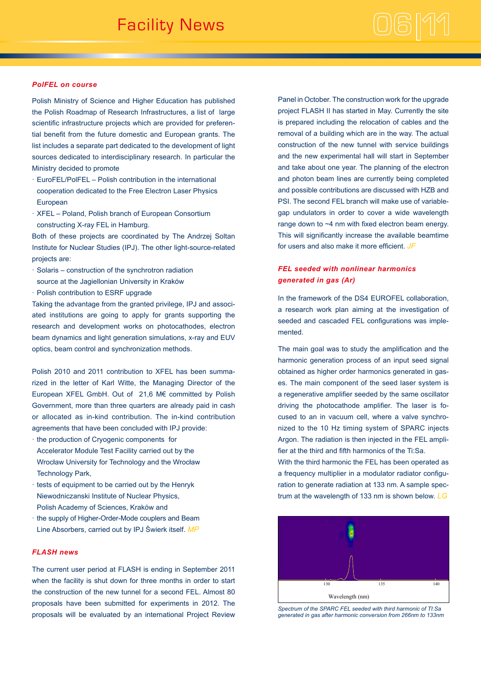## *PolFEL on course*

Polish Ministry of Science and Higher Education has published the Polish Roadmap of Research Infrastructures, a list of large scientific infrastructure projects which are provided for preferential benefit from the future domestic and European grants. The list includes a separate part dedicated to the development of light sources dedicated to interdisciplinary research. In particular the Ministry decided to promote

- · EuroFEL/PolFEL Polish contribution in the international cooperation dedicated to the Free Electron Laser Physics European
- · XFEL Poland, Polish branch of European Consortium constructing X-ray FEL in Hamburg.

Both of these projects are coordinated by The Andrzej Soltan Institute for Nuclear Studies (IPJ). The other light-source-related projects are:

- · Solaris construction of the synchrotron radiation
- source at the Jagiellonian University in Kraków
- · Polish contribution to ESRF upgrade

Taking the advantage from the granted privilege, IPJ and associated institutions are going to apply for grants supporting the research and development works on photocathodes, electron beam dynamics and light generation simulations, x-ray and EUV optics, beam control and synchronization methods.

Polish 2010 and 2011 contribution to XFEL has been summarized in the letter of Karl Witte, the Managing Director of the European XFEL GmbH. Out of 21,6 M€ committed by Polish Government, more than three quarters are already paid in cash or allocated as in-kind contribution. The in-kind contribution agreements that have been concluded with IPJ provide:

- · the production of Cryogenic components for Accelerator Module Test Facility carried out by the Wrocław University for Technology and the Wrocław Technology Park,
- · tests of equipment to be carried out by the Henryk Niewodniczanski Institute of Nuclear Physics, Polish Academy of Sciences, Kraków and
- · the supply of Higher-Order-Mode couplers and Beam Line Absorbers, carried out by IPJ Świerk itself. *MP*

## *FLASH news*

The current user period at FLASH is ending in September 2011 when the facility is shut down for three months in order to start the construction of the new tunnel for a second FEL. Almost 80 proposals have been submitted for experiments in 2012. The proposals will be evaluated by an international Project Review

Panel in October. The construction work for the upgrade project FLASH II has started in May. Currently the site is prepared including the relocation of cables and the removal of a building which are in the way. The actual construction of the new tunnel with service buildings and the new experimental hall will start in September and take about one year. The planning of the electron and photon beam lines are currently being completed and possible contributions are discussed with HZB and PSI. The second FEL branch will make use of variablegap undulators in order to cover a wide wavelength range down to ~4 nm with fixed electron beam energy. This will significantly increase the available beamtime for users and also make it more efficient. *JF*

# *FEL seeded with nonlinear harmonics generated in gas (Ar)*

In the framework of the DS4 EUROFEL collaboration, a research work plan aiming at the investigation of seeded and cascaded FEL configurations was implemented.

The main goal was to study the amplification and the harmonic generation process of an input seed signal obtained as higher order harmonics generated in gases. The main component of the seed laser system is a regenerative amplifier seeded by the same oscillator driving the photocathode amplifier. The laser is focused to an in vacuum cell, where a valve synchronized to the 10 Hz timing system of SPARC injects Argon. The radiation is then injected in the FEL amplifier at the third and fifth harmonics of the Ti:Sa.

With the third harmonic the FEL has been operated as a frequency multiplier in a modulator radiator configuration to generate radiation at 133 nm. A sample spectrum at the wavelength of 133 nm is shown below. *LG*



*Spectrum of the SPARC FEL seeded with third harmonic of TI:Sa generated in gas after harmonic conversion from 266nm to 133nm*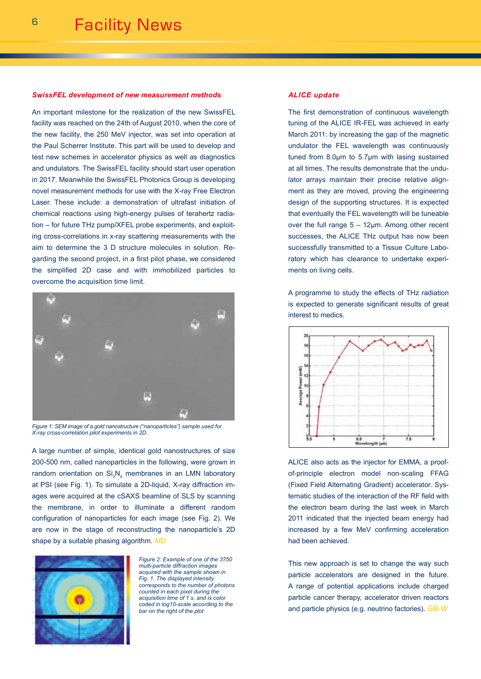\_\_\_\_\_\_\_\_\_\_\_\_\_\_\_\_\_\_\_\_\_\_\_\_\_\_\_\_\_\_\_\_

#### *SwissFEL development of new measurement methods*

An important milestone for the realization of the new SwissFEL facility was reached on the 24th of August 2010, when the core of the new facility, the 250 MeV injector, was set into operation at the Paul Scherrer Institute. This part will be used to develop and test new schemes in accelerator physics as well as diagnostics and undulators. The SwissFEL facility should start user operation in 2017. Meanwhile the SwissFEL Photonics Group is developing novel measurement methods for use with the X-ray Free Electron Laser. These include: a demonstration of ultrafast initiation of chemical reactions using high-energy pulses of terahertz radiation – for future THz pump/XFEL probe experiments, and exploiting cross-correlations in x-ray scattering measurements with the aim to determine the 3 D structure molecules in solution. Regarding the second project, in a first pilot phase, we considered the simplified 2D case and with immobilized particles to overcome the acquisition time limit.



*Figure 1: SEM image of a gold nanostructure ("nanoparticles") sample used for X-ray cross-correlation pilot experiments in 2D.*

A large number of simple, identical gold nanostructures of size 200-500 nm, called nanoparticles in the following, were grown in random orientation on  $Si<sub>3</sub>N<sub>4</sub>$  membranes in an LMN laboratory at PSI (see Fig. 1). To simulate a 2D-liquid, X-ray diffraction images were acquired at the cSAXS beamline of SLS by scanning the membrane, in order to illuminate a different random configuration of nanoparticles for each image (see Fig. 2). We are now in the stage of reconstructing the nanoparticle's 2D shape by a suitable phasing algorithm. *MD*



*Figure 2: Example of one of the 3750 multi-particle diffraction images acquired with the sample shown in Fig. 1. The displayed intensity corresponds to the number of photons counted in each pixel during the acquisition time of 1 s, and is color coded in log10-scale according to the bar on the right of the plot*

#### *ALICE update*

The first demonstration of continuous wavelength tuning of the ALICE IR-FEL was achieved in early March 2011: by increasing the gap of the magnetic undulator the FEL wavelength was continuously tuned from 8.0µm to 5.7µm with lasing sustained at all times. The results demonstrate that the undulator arrays maintain their precise relative alignment as they are moved, proving the engineering design of the supporting structures. It is expected that eventually the FEL wavelength will be tuneable over the full range  $5 - 12 \mu m$ . Among other recent successes, the ALICE THz output has now been successfully transmitted to a Tissue Culture Laboratory which has clearance to undertake experiments on living cells.

A programme to study the effects of THz radiation is expected to generate significant results of great interest to medics.



ALICE also acts as the injector for EMMA, a proofof-principle electron model non-scaling FFAG (Fixed Field Alternating Gradient) accelerator. Systematic studies of the interaction of the RF field with the electron beam during the last week in March 2011 indicated that the injected beam energy had increased by a few MeV confirming acceleration had been achieved.

This new approach is set to change the way such particle accelerators are designed in the future. A range of potential applications include charged particle cancer therapy, accelerator driven reactors and particle physics (e.g. neutrino factories). *GB-W*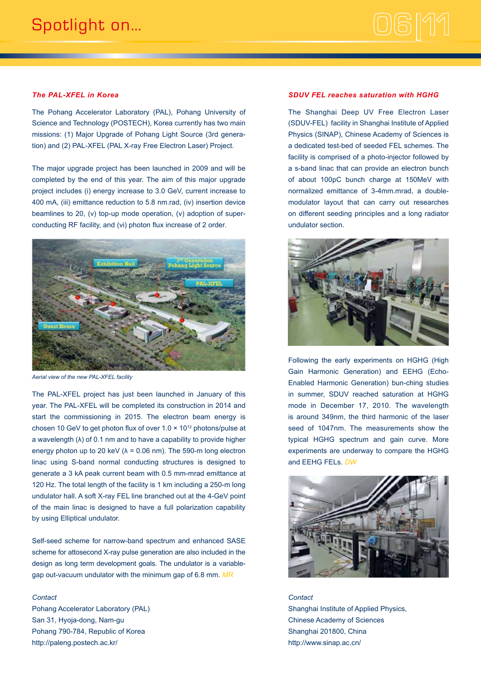

#### *The PAL-XFEL in Korea*

The Pohang Accelerator Laboratory (PAL), Pohang University of Science and Technology (POSTECH), Korea currently has two main missions: (1) Major Upgrade of Pohang Light Source (3rd generation) and (2) PAL-XFEL (PAL X-ray Free Electron Laser) Project.

The major upgrade project has been launched in 2009 and will be completed by the end of this year. The aim of this major upgrade project includes (i) energy increase to 3.0 GeV, current increase to 400 mA, (iii) emittance reduction to 5.8 nm.rad, (iv) insertion device beamlines to 20, (v) top-up mode operation, (v) adoption of superconducting RF facility, and (vi) photon flux increase of 2 order.



*Aerial view of the new PAL-XFEL facility*

The PAL-XFEL project has just been launched in January of this year. The PAL-XFEL will be completed its construction in 2014 and start the commissioning in 2015. The electron beam energy is chosen 10 GeV to get photon flux of over  $1.0 \times 10^{12}$  photons/pulse at a wavelength (λ) of 0.1 nm and to have a capability to provide higher energy photon up to 20 keV ( $\lambda$  = 0.06 nm). The 590-m long electron linac using S-band normal conducting structures is designed to generate a 3 kA peak current beam with 0.5 mm-mrad emittance at 120 Hz. The total length of the facility is 1 km including a 250-m long undulator hall. A soft X-ray FEL line branched out at the 4-GeV point of the main linac is designed to have a full polarization capability by using Elliptical undulator.

Self-seed scheme for narrow-band spectrum and enhanced SASE scheme for attosecond X-ray pulse generation are also included in the design as long term development goals. The undulator is a variablegap out-vacuum undulator with the minimum gap of 6.8 mm. *MR*

#### *Contact*

Pohang Accelerator Laboratory (PAL) San 31, Hyoja-dong, Nam-gu Pohang 790-784, Republic of Korea http://paleng.postech.ac.kr/

#### *SDUV FEL reaches saturation with HGHG*

The Shanghai Deep UV Free Electron Laser (SDUV-FEL) facility in Shanghai Institute of Applied Physics (SINAP), Chinese Academy of Sciences is a dedicated test-bed of seeded FEL schemes. The facility is comprised of a photo-injector followed by a s-band linac that can provide an electron bunch of about 100pC bunch charge at 150MeV with normalized emittance of 3-4mm.mrad, a doublemodulator layout that can carry out researches on different seeding principles and a long radiator undulator section.



Following the early experiments on HGHG (High Gain Harmonic Generation) and EEHG (Echo-Enabled Harmonic Generation) bun-ching studies in summer, SDUV reached saturation at HGHG mode in December 17, 2010. The wavelength is around 349nm, the third harmonic of the laser seed of 1047nm. The measurements show the typical HGHG spectrum and gain curve. More experiments are underway to compare the HGHG and EEHG FELs. *DW*



*Contact* Shanghai Institute of Applied Physics, Chinese Academy of Sciences Shanghai 201800, China http://www.sinap.ac.cn/